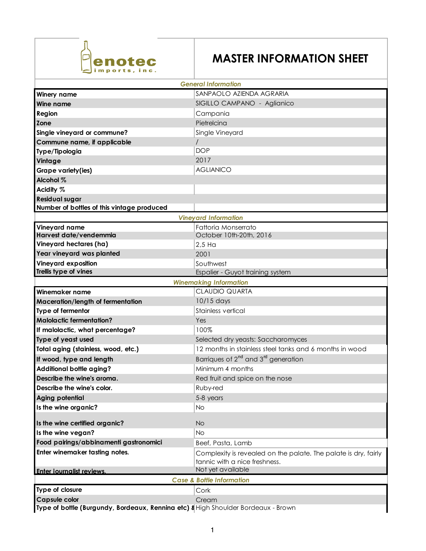

## **MASTER INFORMATION SHEET**

| <b>General Information</b>                                                        |                                                                 |
|-----------------------------------------------------------------------------------|-----------------------------------------------------------------|
| <b>Winery name</b>                                                                | SANPAOLO AZIENDA AGRARIA                                        |
| Wine name                                                                         | SIGILLO CAMPANO - Aglianico                                     |
| Region                                                                            | Campania                                                        |
| Zone                                                                              | Pietrelcina                                                     |
| Single vineyard or commune?                                                       | Single Vineyard                                                 |
| Commune name, if applicable                                                       |                                                                 |
| Type/Tipologia                                                                    | <b>DOP</b>                                                      |
| Vintage                                                                           | 2017                                                            |
| Grape variety(ies)                                                                | <b>AGLIANICO</b>                                                |
| Alcohol %                                                                         |                                                                 |
| Acidity %                                                                         |                                                                 |
| <b>Residual sugar</b>                                                             |                                                                 |
| Number of bottles of this vintage produced                                        |                                                                 |
| <b>Vineyard Information</b>                                                       |                                                                 |
| Vineyard name                                                                     | Fattoria Monserrato                                             |
| Harvest date/vendemmia                                                            | October 10th-20th, 2016                                         |
| Vineyard hectares (ha)                                                            | $2,5$ Ha                                                        |
| Year vineyard was planted                                                         | 2001                                                            |
| Vineyard exposition                                                               | Southwest                                                       |
| Trellis type of vines                                                             | Espalier - Guyot training system                                |
|                                                                                   | <b>Winemaking Information</b>                                   |
| Winemaker name                                                                    | <b>CLAUDIO QUARTA</b>                                           |
| Maceration/length of fermentation                                                 | 10/15 days                                                      |
| Type of fermentor                                                                 | Stainless vertical                                              |
| <b>Malolactic fermentation?</b>                                                   | Yes                                                             |
| If malolactic, what percentage?                                                   | 100%                                                            |
| Type of yeast used                                                                | Selected dry yeasts: Saccharomyces                              |
| Total aging (stainless, wood, etc.)                                               | 12 months in stainless steel tanks and 6 months in wood         |
| If wood, type and length                                                          | Barriques of 2 <sup>nd</sup> and 3 <sup>rd</sup> generation     |
| <b>Additional bottle aging?</b>                                                   | Minimum 4 months                                                |
| Describe the wine's aroma.                                                        | Red fruit and spice on the nose                                 |
| Describe the wine's color.                                                        | Ruby-red                                                        |
| <b>Aging potential</b>                                                            | 5-8 years                                                       |
| Is the wine organic?                                                              | N <sub>O</sub>                                                  |
| Is the wine certified organic?                                                    | <b>No</b>                                                       |
| Is the wine vegan?                                                                | No                                                              |
| Food pairings/abbinamenti gastronomici                                            | Beef, Pasta, Lamb                                               |
| Enter winemaker tasting notes.                                                    | Complexity is revealed on the palate. The palate is dry, fairly |
|                                                                                   | tannic with a nice freshness.                                   |
| Enter journalist reviews.                                                         | Not yet available                                               |
| <b>Case &amp; Bottle Information</b>                                              |                                                                 |
| Type of closure                                                                   | Cork                                                            |
| <b>Capsule color</b>                                                              | Cream                                                           |
| Type of bottle (Burgundy, Bordeaux, Rennina etc) & High Shoulder Bordeaux - Brown |                                                                 |